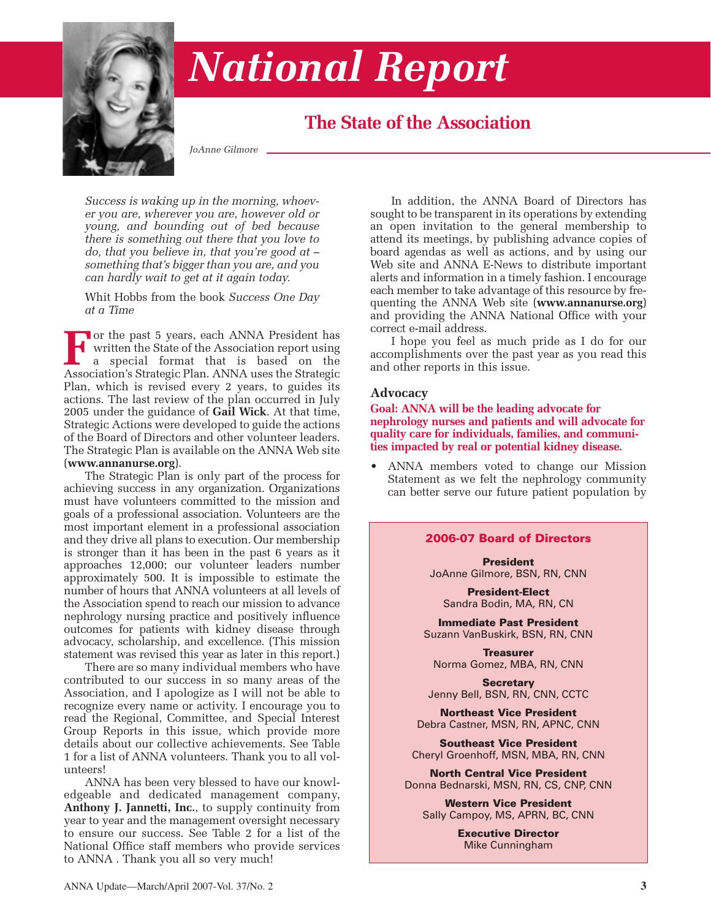

# *National Report*

# **The State of the Association**

*JoAnne Gilmore*

*Success is waking up in the morning, whoever you are, wherever you are, however old or young, and bounding out of bed because there is something out there that you love to do, that you believe in, that you're good at – something that's bigger than you are, and you can hardly wait to get at it again today.* 

Whit Hobbs from the book *Success One Day at a Time*

**For** the past 5 years, each ANNA President has<br>written the State of the Association report using<br>a special format that is based on the<br>Association's Strategic Plan. ANNA uses the Strategic written the State of the Association report using a special format that is based on the Association's Strategic Plan. ANNA uses the Strategic Plan, which is revised every 2 years, to guides its actions. The last review of the plan occurred in July 2005 under the guidance of **Gail Wick**. At that time, Strategic Actions were developed to guide the actions of the Board of Directors and other volunteer leaders. The Strategic Plan is available on the ANNA Web site (**www.annanurse.org**).

The Strategic Plan is only part of the process for achieving success in any organization. Organizations must have volunteers committed to the mission and goals of a professional association. Volunteers are the most important element in a professional association and they drive all plans to execution. Our membership is stronger than it has been in the past 6 years as it approaches 12,000; our volunteer leaders number approximately 500. It is impossible to estimate the number of hours that ANNA volunteers at all levels of the Association spend to reach our mission to advance nephrology nursing practice and positively influence outcomes for patients with kidney disease through advocacy, scholarship, and excellence. (This mission statement was revised this year as later in this report.)

There are so many individual members who have contributed to our success in so many areas of the Association, and I apologize as I will not be able to recognize every name or activity. I encourage you to read the Regional, Committee, and Special Interest Group Reports in this issue, which provide more details about our collective achievements. See Table 1 for a list of ANNA volunteers. Thank you to all volunteers!

ANNA has been very blessed to have our knowledgeable and dedicated management company, **Anthony J. Jannetti, Inc.**, to supply continuity from year to year and the management oversight necessary to ensure our success. See Table 2 for a list of the National Office staff members who provide services to ANNA . Thank you all so very much!

In addition, the ANNA Board of Directors has sought to be transparent in its operations by extending an open invitation to the general membership to attend its meetings, by publishing advance copies of board agendas as well as actions, and by using our Web site and ANNA E-News to distribute important alerts and information in a timely fashion. I encourage each member to take advantage of this resource by frequenting the ANNA Web site (**www.annanurse.org**) and providing the ANNA National Office with your correct e-mail address.

I hope you feel as much pride as I do for our accomplishments over the past year as you read this and other reports in this issue.

# **Advocacy**

**Goal: ANNA will be the leading advocate for nephrology nurses and patients and will advocate for quality care for individuals, families, and communities impacted by real or potential kidney disease.**

• ANNA members voted to change our Mission Statement as we felt the nephrology community can better serve our future patient population by

#### **2006-07 Board of Directors**

**President** JoAnne Gilmore, BSN, RN, CNN

**President-Elect** Sandra Bodin, MA, RN, CN

**Immediate Past President** Suzann VanBuskirk, BSN, RN, CNN

**Treasurer** Norma Gomez, MBA, RN, CNN

**Secretary** Jenny Bell, BSN, RN, CNN, CCTC

**Northeast Vice President** Debra Castner, MSN, RN, APNC, CNN

**Southeast Vice President** Cheryl Groenhoff, MSN, MBA, RN, CNN

**North Central Vice President** Donna Bednarski, MSN, RN, CS, CNP, CNN

**Western Vice President** Sally Campoy, MS, APRN, BC, CNN

> **Executive Director** Mike Cunningham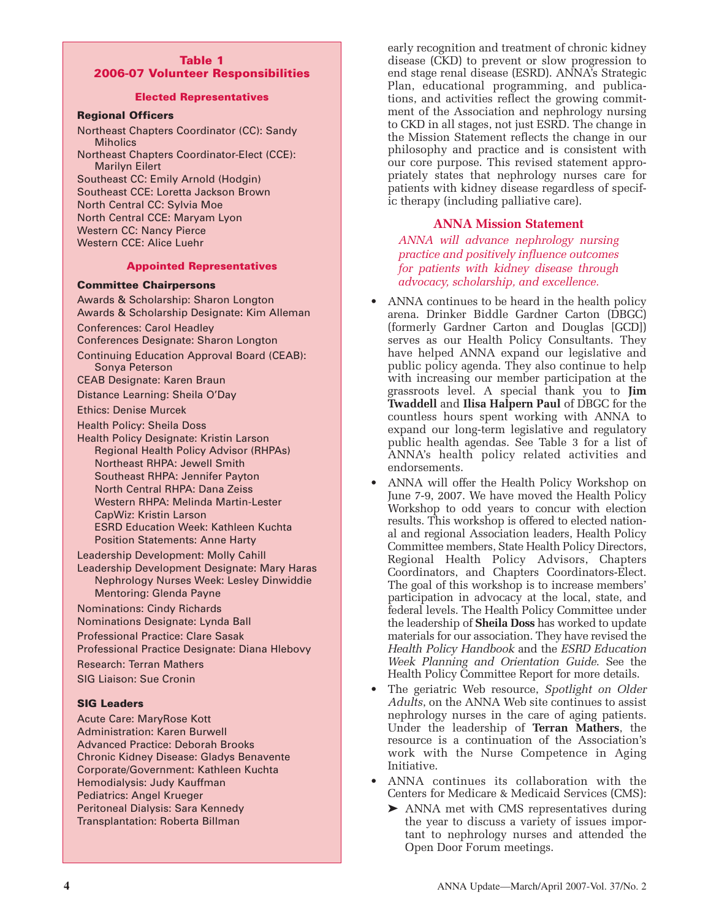#### **Table 1 2006-07 Volunteer Responsibilities**

#### **Elected Representatives**

#### **Regional Officers**

Northeast Chapters Coordinator (CC): Sandy **Miholics** Northeast Chapters Coordinator-Elect (CCE): Marilyn Eilert

Southeast CC: Emily Arnold (Hodgin) Southeast CCE: Loretta Jackson Brown North Central CC: Sylvia Moe North Central CCE: Maryam Lyon Western CC: Nancy Pierce Western CCE: Alice Luehr

#### **Appointed Representatives**

#### **Committee Chairpersons**

Awards & Scholarship: Sharon Longton Awards & Scholarship Designate: Kim Alleman Conferences: Carol Headley Conferences Designate: Sharon Longton Continuing Education Approval Board (CEAB): Sonya Peterson CEAB Designate: Karen Braun Distance Learning: Sheila O'Day Ethics: Denise Murcek Health Policy: Sheila Doss Health Policy Designate: Kristin Larson Regional Health Policy Advisor (RHPAs) Northeast RHPA: Jewell Smith Southeast RHPA: Jennifer Payton North Central RHPA: Dana Zeiss Western RHPA: Melinda Martin-Lester

CapWiz: Kristin Larson ESRD Education Week: Kathleen Kuchta Position Statements: Anne Harty

Leadership Development: Molly Cahill

Leadership Development Designate: Mary Haras Nephrology Nurses Week: Lesley Dinwiddie Mentoring: Glenda Payne

Nominations: Cindy Richards Nominations Designate: Lynda Ball

Professional Practice: Clare Sasak

Professional Practice Designate: Diana Hlebovy

Research: Terran Mathers

SIG Liaison: Sue Cronin

# **SIG Leaders**

Acute Care: MaryRose Kott Administration: Karen Burwell Advanced Practice: Deborah Brooks Chronic Kidney Disease: Gladys Benavente Corporate/Government: Kathleen Kuchta Hemodialysis: Judy Kauffman Pediatrics: Angel Krueger Peritoneal Dialysis: Sara Kennedy Transplantation: Roberta Billman

early recognition and treatment of chronic kidney disease (CKD) to prevent or slow progression to end stage renal disease (ESRD). ANNA's Strategic Plan, educational programming, and publications, and activities reflect the growing commitment of the Association and nephrology nursing to CKD in all stages, not just ESRD. The change in the Mission Statement reflects the change in our philosophy and practice and is consistent with our core purpose. This revised statement appropriately states that nephrology nurses care for patients with kidney disease regardless of specific therapy (including palliative care).

#### **ANNA Mission Statement**

*ANNA will advance nephrology nursing practice and positively influence outcomes for patients with kidney disease through advocacy, scholarship, and excellence.*

- ANNA continues to be heard in the health policy arena. Drinker Biddle Gardner Carton (DBGC) (formerly Gardner Carton and Douglas [GCD]) serves as our Health Policy Consultants. They have helped ANNA expand our legislative and public policy agenda. They also continue to help with increasing our member participation at the grassroots level. A special thank you to **Jim Twaddell** and **Ilisa Halpern Paul** of DBGC for the countless hours spent working with ANNA to expand our long-term legislative and regulatory public health agendas. See Table 3 for a list of ANNA's health policy related activities and endorsements.
- ANNA will offer the Health Policy Workshop on June 7-9, 2007. We have moved the Health Policy Workshop to odd years to concur with election results. This workshop is offered to elected national and regional Association leaders, Health Policy Committee members, State Health Policy Directors, Regional Health Policy Advisors, Chapters Coordinators, and Chapters Coordinators-Elect. The goal of this workshop is to increase members' participation in advocacy at the local, state, and federal levels. The Health Policy Committee under the leadership of **Sheila Doss** has worked to update materials for our association. They have revised the *Health Policy Handbook* and the *ESRD Education Week Planning and Orientation Guide*. See the Health Policy Committee Report for more details.
- The geriatric Web resource, *Spotlight on Older Adults*, on the ANNA Web site continues to assist nephrology nurses in the care of aging patients. Under the leadership of **Terran Mathers**, the resource is a continuation of the Association's work with the Nurse Competence in Aging Initiative.
- ANNA continues its collaboration with the Centers for Medicare & Medicaid Services (CMS):
	- ➤ ANNA met with CMS representatives during the year to discuss a variety of issues important to nephrology nurses and attended the Open Door Forum meetings.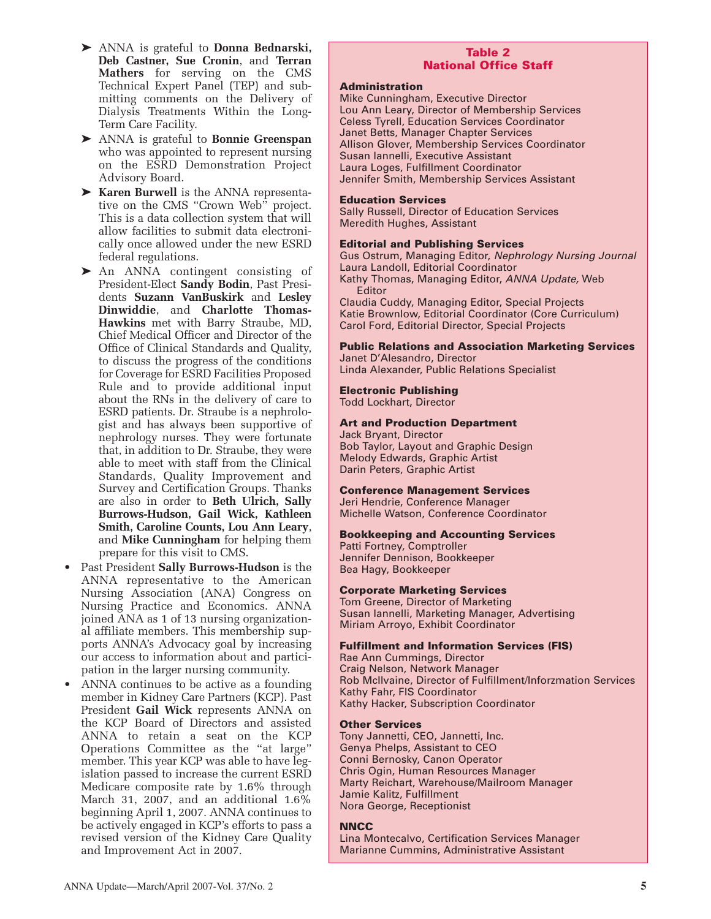- ➤ ANNA is grateful to **Donna Bednarski, Deb Castner, Sue Cronin**, and **Terran Mathers** for serving on the CMS Technical Expert Panel (TEP) and submitting comments on the Delivery of Dialysis Treatments Within the Long-Term Care Facility.
- ➤ ANNA is grateful to **Bonnie Greenspan** who was appointed to represent nursing on the ESRD Demonstration Project Advisory Board.
- ➤ **Karen Burwell** is the ANNA representative on the CMS "Crown Web" project. This is a data collection system that will allow facilities to submit data electronically once allowed under the new ESRD federal regulations.
- ➤ An ANNA contingent consisting of President-Elect **Sandy Bodin**, Past Presidents **Suzann VanBuskirk** and **Lesley Dinwiddie**, and **Charlotte Thomas-Hawkins** met with Barry Straube, MD, Chief Medical Officer and Director of the Office of Clinical Standards and Quality, to discuss the progress of the conditions for Coverage for ESRD Facilities Proposed Rule and to provide additional input about the RNs in the delivery of care to ESRD patients. Dr. Straube is a nephrologist and has always been supportive of nephrology nurses. They were fortunate that, in addition to Dr. Straube, they were able to meet with staff from the Clinical Standards, Quality Improvement and Survey and Certification Groups. Thanks are also in order to **Beth Ulrich, Sally Burrows-Hudson, Gail Wick, Kathleen Smith, Caroline Counts, Lou Ann Leary**, and **Mike Cunningham** for helping them prepare for this visit to CMS.
- Past President **Sally Burrows-Hudson** is the ANNA representative to the American Nursing Association (ANA) Congress on Nursing Practice and Economics. ANNA joined ANA as 1 of 13 nursing organizational affiliate members. This membership supports ANNA's Advocacy goal by increasing our access to information about and participation in the larger nursing community.
- ANNA continues to be active as a founding member in Kidney Care Partners (KCP). Past President **Gail Wick** represents ANNA on the KCP Board of Directors and assisted ANNA to retain a seat on the KCP Operations Committee as the "at large" member. This year KCP was able to have legislation passed to increase the current ESRD Medicare composite rate by 1.6% through March 31, 2007, and an additional 1.6% beginning April 1, 2007. ANNA continues to be actively engaged in KCP's efforts to pass a revised version of the Kidney Care Quality and Improvement Act in 2007.

# **Table 2 National Office Staff**

#### **Administration**

Mike Cunningham, Executive Director Lou Ann Leary, Director of Membership Services Celess Tyrell, Education Services Coordinator Janet Betts, Manager Chapter Services Allison Glover, Membership Services Coordinator Susan Iannelli, Executive Assistant Laura Loges, Fulfillment Coordinator Jennifer Smith, Membership Services Assistant

#### **Education Services**

Sally Russell, Director of Education Services Meredith Hughes, Assistant

#### **Editorial and Publishing Services**

Gus Ostrum, Managing Editor, Nephrology Nursing Journal Laura Landoll, Editorial Coordinator

Kathy Thomas, Managing Editor, ANNA Update, Web Editor

Claudia Cuddy, Managing Editor, Special Projects Katie Brownlow, Editorial Coordinator (Core Curriculum) Carol Ford, Editorial Director, Special Projects

**Public Relations and Association Marketing Services** Janet D'Alesandro, Director Linda Alexander, Public Relations Specialist

#### **Electronic Publishing**

Todd Lockhart, Director

#### **Art and Production Department**

Jack Bryant, Director Bob Taylor, Layout and Graphic Design Melody Edwards, Graphic Artist Darin Peters, Graphic Artist

#### **Conference Management Services**

Jeri Hendrie, Conference Manager Michelle Watson, Conference Coordinator

#### **Bookkeeping and Accounting Services**

Patti Fortney, Comptroller Jennifer Dennison, Bookkeeper Bea Hagy, Bookkeeper

#### **Corporate Marketing Services**

Tom Greene, Director of Marketing Susan Iannelli, Marketing Manager, Advertising Miriam Arroyo, Exhibit Coordinator

#### **Fulfillment and Information Services (FIS)**

Rae Ann Cummings, Director Craig Nelson, Network Manager Rob McIlvaine, Director of Fulfillment/Inforzmation Services Kathy Fahr, FIS Coordinator Kathy Hacker, Subscription Coordinator

#### **Other Services**

Tony Jannetti, CEO, Jannetti, Inc. Genya Phelps, Assistant to CEO Conni Bernosky, Canon Operator Chris Ogin, Human Resources Manager Marty Reichart, Warehouse/Mailroom Manager Jamie Kalitz, Fulfillment Nora George, Receptionist

#### **NNCC**

Lina Montecalvo, Certification Services Manager Marianne Cummins, Administrative Assistant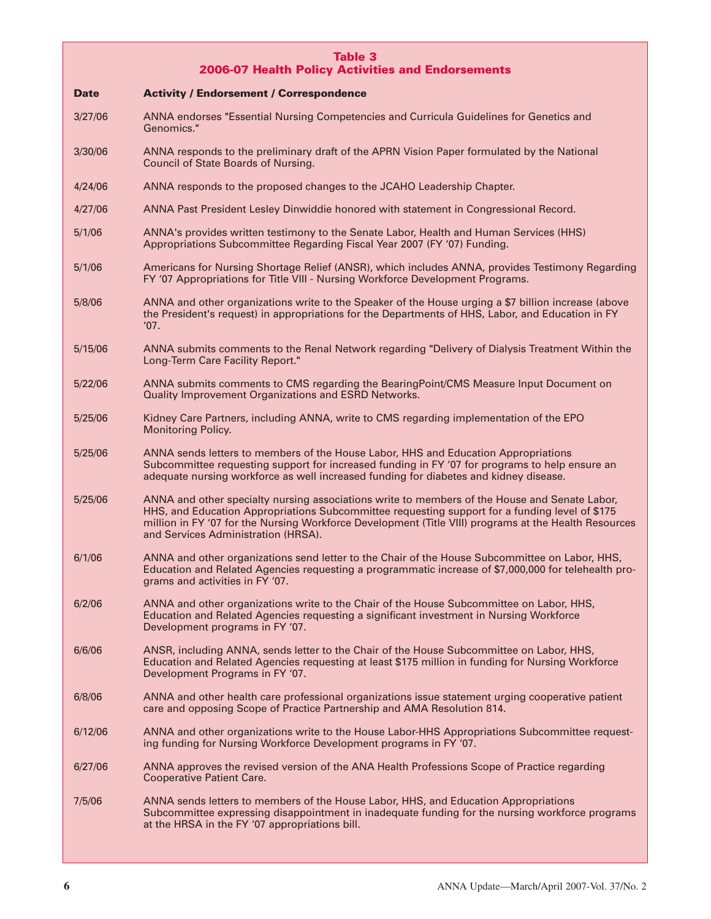# **Table 3 2006-07 Health Policy Activities and Endorsements**

| Date    | <b>Activity / Endorsement / Correspondence</b>                                                                                                                                                                                                                                                                                                  |  |
|---------|-------------------------------------------------------------------------------------------------------------------------------------------------------------------------------------------------------------------------------------------------------------------------------------------------------------------------------------------------|--|
| 3/27/06 | ANNA endorses "Essential Nursing Competencies and Curricula Guidelines for Genetics and<br>Genomics."                                                                                                                                                                                                                                           |  |
| 3/30/06 | ANNA responds to the preliminary draft of the APRN Vision Paper formulated by the National<br>Council of State Boards of Nursing.                                                                                                                                                                                                               |  |
| 4/24/06 | ANNA responds to the proposed changes to the JCAHO Leadership Chapter.                                                                                                                                                                                                                                                                          |  |
| 4/27/06 | ANNA Past President Lesley Dinwiddie honored with statement in Congressional Record.                                                                                                                                                                                                                                                            |  |
| 5/1/06  | ANNA's provides written testimony to the Senate Labor, Health and Human Services (HHS)<br>Appropriations Subcommittee Regarding Fiscal Year 2007 (FY '07) Funding.                                                                                                                                                                              |  |
| 5/1/06  | Americans for Nursing Shortage Relief (ANSR), which includes ANNA, provides Testimony Regarding<br>FY '07 Appropriations for Title VIII - Nursing Workforce Development Programs.                                                                                                                                                               |  |
| 5/8/06  | ANNA and other organizations write to the Speaker of the House urging a \$7 billion increase (above<br>the President's request) in appropriations for the Departments of HHS, Labor, and Education in FY<br>'07.                                                                                                                                |  |
| 5/15/06 | ANNA submits comments to the Renal Network regarding "Delivery of Dialysis Treatment Within the<br>Long-Term Care Facility Report."                                                                                                                                                                                                             |  |
| 5/22/06 | ANNA submits comments to CMS regarding the BearingPoint/CMS Measure Input Document on<br><b>Quality Improvement Organizations and ESRD Networks.</b>                                                                                                                                                                                            |  |
| 5/25/06 | Kidney Care Partners, including ANNA, write to CMS regarding implementation of the EPO<br><b>Monitoring Policy.</b>                                                                                                                                                                                                                             |  |
| 5/25/06 | ANNA sends letters to members of the House Labor, HHS and Education Appropriations<br>Subcommittee requesting support for increased funding in FY '07 for programs to help ensure an<br>adequate nursing workforce as well increased funding for diabetes and kidney disease.                                                                   |  |
| 5/25/06 | ANNA and other specialty nursing associations write to members of the House and Senate Labor,<br>HHS, and Education Appropriations Subcommittee requesting support for a funding level of \$175<br>million in FY '07 for the Nursing Workforce Development (Title VIII) programs at the Health Resources<br>and Services Administration (HRSA). |  |
| 6/1/06  | ANNA and other organizations send letter to the Chair of the House Subcommittee on Labor, HHS,<br>Education and Related Agencies requesting a programmatic increase of \$7,000,000 for telehealth pro-<br>grams and activities in FY '07.                                                                                                       |  |
| 6/2/06  | ANNA and other organizations write to the Chair of the House Subcommittee on Labor, HHS,<br>Education and Related Agencies requesting a significant investment in Nursing Workforce<br>Development programs in FY '07.                                                                                                                          |  |
| 6/6/06  | ANSR, including ANNA, sends letter to the Chair of the House Subcommittee on Labor, HHS,<br>Education and Related Agencies requesting at least \$175 million in funding for Nursing Workforce<br>Development Programs in FY '07.                                                                                                                |  |
| 6/8/06  | ANNA and other health care professional organizations issue statement urging cooperative patient<br>care and opposing Scope of Practice Partnership and AMA Resolution 814.                                                                                                                                                                     |  |
| 6/12/06 | ANNA and other organizations write to the House Labor-HHS Appropriations Subcommittee request-<br>ing funding for Nursing Workforce Development programs in FY '07.                                                                                                                                                                             |  |
| 6/27/06 | ANNA approves the revised version of the ANA Health Professions Scope of Practice regarding<br><b>Cooperative Patient Care.</b>                                                                                                                                                                                                                 |  |
| 7/5/06  | ANNA sends letters to members of the House Labor, HHS, and Education Appropriations<br>Subcommittee expressing disappointment in inadequate funding for the nursing workforce programs<br>at the HRSA in the FY '07 appropriations bill.                                                                                                        |  |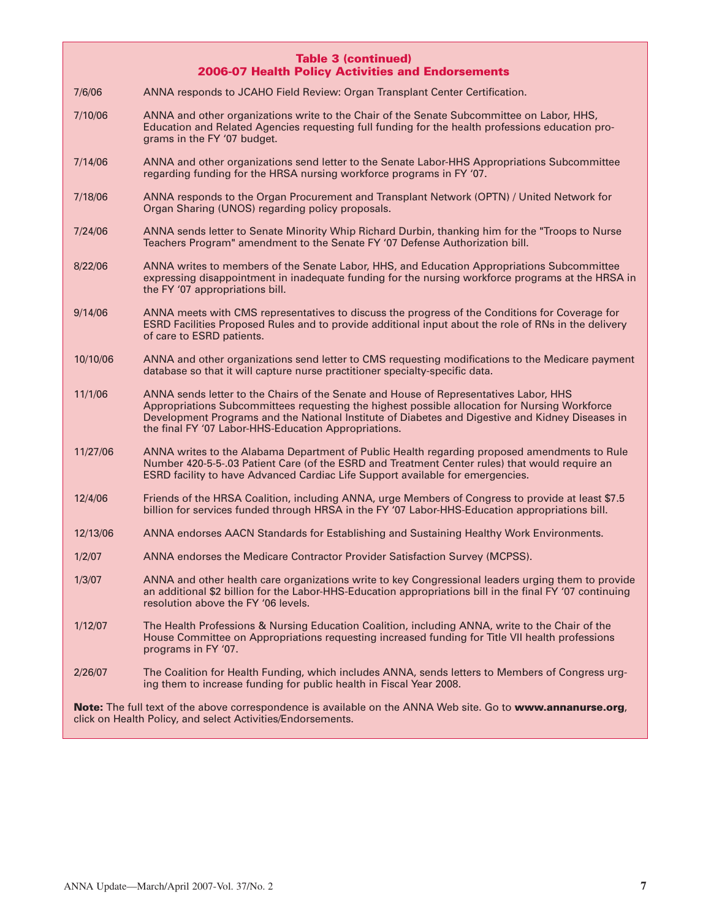## **Table 3 (continued) 2006-07 Health Policy Activities and Endorsements**

7/6/06 ANNA responds to JCAHO Field Review: Organ Transplant Center Certification.

- 7/10/06 ANNA and other organizations write to the Chair of the Senate Subcommittee on Labor, HHS, Education and Related Agencies requesting full funding for the health professions education programs in the FY '07 budget.
- 7/14/06 ANNA and other organizations send letter to the Senate Labor-HHS Appropriations Subcommittee regarding funding for the HRSA nursing workforce programs in FY '07.
- 7/18/06 ANNA responds to the Organ Procurement and Transplant Network (OPTN) / United Network for Organ Sharing (UNOS) regarding policy proposals.
- 7/24/06 ANNA sends letter to Senate Minority Whip Richard Durbin, thanking him for the "Troops to Nurse Teachers Program" amendment to the Senate FY '07 Defense Authorization bill.
- 8/22/06 ANNA writes to members of the Senate Labor, HHS, and Education Appropriations Subcommittee expressing disappointment in inadequate funding for the nursing workforce programs at the HRSA in the FY '07 appropriations bill.
- 9/14/06 ANNA meets with CMS representatives to discuss the progress of the Conditions for Coverage for ESRD Facilities Proposed Rules and to provide additional input about the role of RNs in the delivery of care to ESRD patients.
- 10/10/06 ANNA and other organizations send letter to CMS requesting modifications to the Medicare payment database so that it will capture nurse practitioner specialty-specific data.
- 11/1/06 ANNA sends letter to the Chairs of the Senate and House of Representatives Labor, HHS Appropriations Subcommittees requesting the highest possible allocation for Nursing Workforce Development Programs and the National Institute of Diabetes and Digestive and Kidney Diseases in the final FY '07 Labor-HHS-Education Appropriations.
- 11/27/06 ANNA writes to the Alabama Department of Public Health regarding proposed amendments to Rule Number 420-5-5-.03 Patient Care (of the ESRD and Treatment Center rules) that would require an ESRD facility to have Advanced Cardiac Life Support available for emergencies.
- 12/4/06 Friends of the HRSA Coalition, including ANNA, urge Members of Congress to provide at least \$7.5 billion for services funded through HRSA in the FY '07 Labor-HHS-Education appropriations bill.
- 12/13/06 ANNA endorses AACN Standards for Establishing and Sustaining Healthy Work Environments.
- 1/2/07 ANNA endorses the Medicare Contractor Provider Satisfaction Survey (MCPSS).
- 1/3/07 ANNA and other health care organizations write to key Congressional leaders urging them to provide an additional \$2 billion for the Labor-HHS-Education appropriations bill in the final FY '07 continuing resolution above the FY '06 levels.
- 1/12/07 The Health Professions & Nursing Education Coalition, including ANNA, write to the Chair of the House Committee on Appropriations requesting increased funding for Title VII health professions programs in FY '07.
- 2/26/07 The Coalition for Health Funding, which includes ANNA, sends letters to Members of Congress urging them to increase funding for public health in Fiscal Year 2008.

**Note:** The full text of the above correspondence is available on the ANNA Web site. Go to **www.annanurse.org**, click on Health Policy, and select Activities/Endorsements.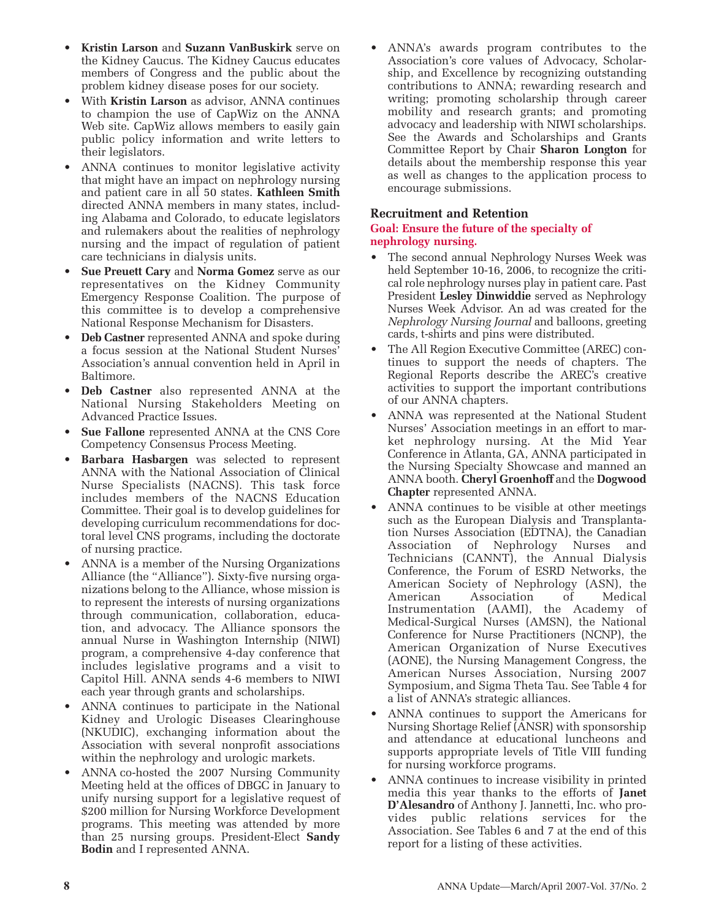- **Kristin Larson** and **Suzann VanBuskirk** serve on the Kidney Caucus. The Kidney Caucus educates members of Congress and the public about the problem kidney disease poses for our society.
- With **Kristin Larson** as advisor, ANNA continues to champion the use of CapWiz on the ANNA Web site. CapWiz allows members to easily gain public policy information and write letters to their legislators.
- ANNA continues to monitor legislative activity that might have an impact on nephrology nursing and patient care in all 50 states. **Kathleen Smith** directed ANNA members in many states, including Alabama and Colorado, to educate legislators and rulemakers about the realities of nephrology nursing and the impact of regulation of patient care technicians in dialysis units.
- **Sue Preuett Cary** and **Norma Gomez** serve as our representatives on the Kidney Community Emergency Response Coalition. The purpose of this committee is to develop a comprehensive National Response Mechanism for Disasters.
- **Deb Castner** represented ANNA and spoke during a focus session at the National Student Nurses' Association's annual convention held in April in Baltimore.
- **Deb Castner** also represented ANNA at the National Nursing Stakeholders Meeting on Advanced Practice Issues.
- **Sue Fallone** represented ANNA at the CNS Core Competency Consensus Process Meeting.
- **Barbara Hasbargen** was selected to represent ANNA with the National Association of Clinical Nurse Specialists (NACNS). This task force includes members of the NACNS Education Committee. Their goal is to develop guidelines for developing curriculum recommendations for doctoral level CNS programs, including the doctorate of nursing practice.
- ANNA is a member of the Nursing Organizations Alliance (the "Alliance"). Sixty-five nursing organizations belong to the Alliance, whose mission is to represent the interests of nursing organizations through communication, collaboration, education, and advocacy. The Alliance sponsors the annual Nurse in Washington Internship (NIWI) program, a comprehensive 4-day conference that includes legislative programs and a visit to Capitol Hill. ANNA sends 4-6 members to NIWI each year through grants and scholarships.
- ANNA continues to participate in the National Kidney and Urologic Diseases Clearinghouse (NKUDIC), exchanging information about the Association with several nonprofit associations within the nephrology and urologic markets.
- ANNA co-hosted the 2007 Nursing Community Meeting held at the offices of DBGC in January to unify nursing support for a legislative request of \$200 million for Nursing Workforce Development programs. This meeting was attended by more than 25 nursing groups. President-Elect **Sandy Bodin** and I represented ANNA.

• ANNA's awards program contributes to the Association's core values of Advocacy, Scholarship, and Excellence by recognizing outstanding contributions to ANNA; rewarding research and writing; promoting scholarship through career mobility and research grants; and promoting advocacy and leadership with NIWI scholarships. See the Awards and Scholarships and Grants Committee Report by Chair **Sharon Longton** for details about the membership response this year as well as changes to the application process to encourage submissions.

# **Recruitment and Retention**

# **Goal: Ensure the future of the specialty of nephrology nursing.**

- The second annual Nephrology Nurses Week was held September 10-16, 2006, to recognize the critical role nephrology nurses play in patient care. Past President **Lesley Dinwiddie** served as Nephrology Nurses Week Advisor. An ad was created for the *Nephrology Nursing Journal* and balloons, greeting cards, t-shirts and pins were distributed.
- The All Region Executive Committee (AREC) continues to support the needs of chapters. The Regional Reports describe the AREC's creative activities to support the important contributions of our ANNA chapters.
- ANNA was represented at the National Student Nurses' Association meetings in an effort to market nephrology nursing. At the Mid Year Conference in Atlanta, GA, ANNA participated in the Nursing Specialty Showcase and manned an ANNA booth. **Cheryl Groenhoff** and the **Dogwood Chapter** represented ANNA.
- ANNA continues to be visible at other meetings such as the European Dialysis and Transplantation Nurses Association (EDTNA), the Canadian Association of Nephrology Nurses and Technicians (CANNT), the Annual Dialysis Conference, the Forum of ESRD Networks, the American Society of Nephrology (ASN), the American Association of Medical Instrumentation (AAMI), the Academy of Medical-Surgical Nurses (AMSN), the National Conference for Nurse Practitioners (NCNP), the American Organization of Nurse Executives (AONE), the Nursing Management Congress, the American Nurses Association, Nursing 2007 Symposium, and Sigma Theta Tau. See Table 4 for a list of ANNA's strategic alliances.
- ANNA continues to support the Americans for Nursing Shortage Relief (ANSR) with sponsorship and attendance at educational luncheons and supports appropriate levels of Title VIII funding for nursing workforce programs.
- ANNA continues to increase visibility in printed media this year thanks to the efforts of **Janet D'Alesandro** of Anthony J. Jannetti, Inc. who provides public relations services for the Association. See Tables 6 and 7 at the end of this report for a listing of these activities.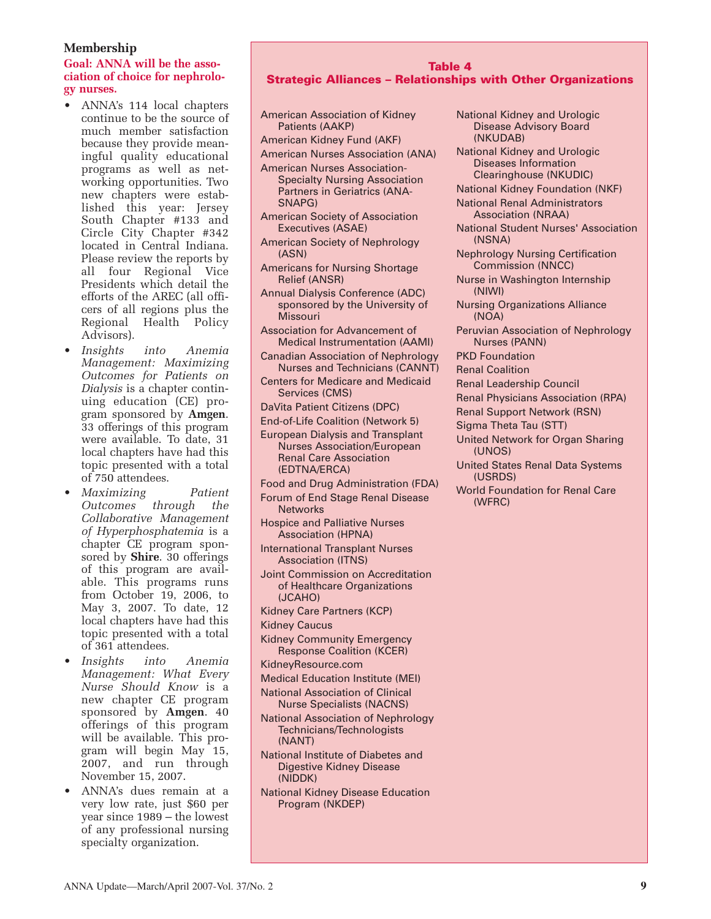# **Membership**

# **Goal: ANNA will be the association of choice for nephrology nurses.**

- ANNA's 114 local chapters continue to be the source of much member satisfaction because they provide meaningful quality educational programs as well as networking opportunities. Two new chapters were established this year: Jersey South Chapter #133 and Circle City Chapter #342 located in Central Indiana. Please review the reports by all four Regional Vice Presidents which detail the efforts of the AREC (all officers of all regions plus the Regional Health Policy Advisors).
- *Insights into Anemia Management: Maximizing Outcomes for Patients on Dialysis* is a chapter continuing education (CE) program sponsored by **Amgen**. 33 offerings of this program were available. To date, 31 local chapters have had this topic presented with a total of 750 attendees.
- *Maximizing Patient Outcomes through the Collaborative Management of Hyperphosphatemia* is a chapter CE program sponsored by **Shire**. 30 offerings of this program are available. This programs runs from October 19, 2006, to May 3, 2007. To date, 12 local chapters have had this topic presented with a total of 361 attendees.
- *Insights into Anemia Management: What Every Nurse Should Know* is a new chapter CE program sponsored by **Amgen**. 40 offerings of this program will be available. This program will begin May 15, 2007, and run through November 15, 2007.
- ANNA's dues remain at a very low rate, just \$60 per year since 1989 – the lowest of any professional nursing specialty organization.

#### **Table 4 Strategic Alliances – Relationships with Other Organizations**

| American Association of Kidney<br>Patients (AAKP)                   | ľ                    |
|---------------------------------------------------------------------|----------------------|
| American Kidney Fund (AKF)                                          |                      |
| <b>American Nurses Association (ANA)</b>                            | ľ                    |
| <b>American Nurses Association-</b>                                 |                      |
| <b>Specialty Nursing Association</b>                                |                      |
| <b>Partners in Geriatrics (ANA-</b>                                 | ľ                    |
| SNAPG)                                                              | ľ                    |
| <b>American Society of Association</b><br>Executives (ASAE)         | ľ                    |
| <b>American Society of Nephrology</b>                               |                      |
| (ASN)                                                               | ľ                    |
| <b>Americans for Nursing Shortage</b>                               |                      |
| <b>Relief (ANSR)</b>                                                | ľ                    |
| <b>Annual Dialysis Conference (ADC)</b>                             |                      |
| sponsored by the University of<br><b>Missouri</b>                   | ľ                    |
| <b>Association for Advancement of</b>                               | F                    |
| <b>Medical Instrumentation (AAMI)</b>                               |                      |
| <b>Canadian Association of Nephrology</b>                           | F                    |
| <b>Nurses and Technicians (CANNT)</b>                               | F                    |
| <b>Centers for Medicare and Medicaid</b>                            | F                    |
| Services (CMS)                                                      | F                    |
| DaVita Patient Citizens (DPC)                                       | F                    |
| End-of-Life Coalition (Network 5)                                   | $\ddot{\phantom{0}}$ |
| <b>European Dialysis and Transplant</b>                             | ι                    |
| <b>Nurses Association/European</b><br><b>Renal Care Association</b> |                      |
| (EDTNA/ERCA)                                                        | ι                    |
| <b>Food and Drug Administration (FDA)</b>                           |                      |
| Forum of End Stage Renal Disease                                    | ١                    |
| <b>Networks</b>                                                     |                      |
| <b>Hospice and Palliative Nurses</b>                                |                      |
| <b>Association (HPNA)</b>                                           |                      |
| <b>International Transplant Nurses</b><br><b>Association (ITNS)</b> |                      |
| <b>Joint Commission on Accreditation</b>                            |                      |
| of Healthcare Organizations                                         |                      |
| (JCAHO)                                                             |                      |
| <b>Kidney Care Partners (KCP)</b>                                   |                      |
| <b>Kidney Caucus</b>                                                |                      |
| <b>Kidney Community Emergency</b>                                   |                      |
| <b>Response Coalition (KCER)</b>                                    |                      |
| KidneyResource.com                                                  |                      |
| <b>Medical Education Institute (MEI)</b>                            |                      |
| <b>National Association of Clinical</b>                             |                      |
| <b>Nurse Specialists (NACNS)</b>                                    |                      |
| <b>National Association of Nephrology</b>                           |                      |
| Technicians/Technologists<br>(NANT)                                 |                      |
| National Institute of Diabetes and                                  |                      |
| <b>Digestive Kidney Disease</b>                                     |                      |
| (NIDDK)                                                             |                      |
| <b>National Kidney Disease Education</b>                            |                      |
| Program (NKDEP)                                                     |                      |
|                                                                     |                      |

National Kidney and Urologic Disease Advisory Board (NKUDAB) National Kidney and Urologic Diseases Information Clearinghouse (NKUDIC) National Kidney Foundation (NKF) National Renal Administrators Association (NRAA) National Student Nurses' Association (NSNA) Nephrology Nursing Certification Commission (NNCC) Nurse in Washington Internship (NIWI) Nursing Organizations Alliance (NOA) Peruvian Association of Nephrology Nurses (PANN) PKD Foundation Renal Coalition Renal Leadership Council Renal Physicians Association (RPA) Renal Support Network (RSN) Sigma Theta Tau (STT) United Network for Organ Sharing (UNOS) United States Renal Data Systems (USRDS) World Foundation for Renal Care (WFRC)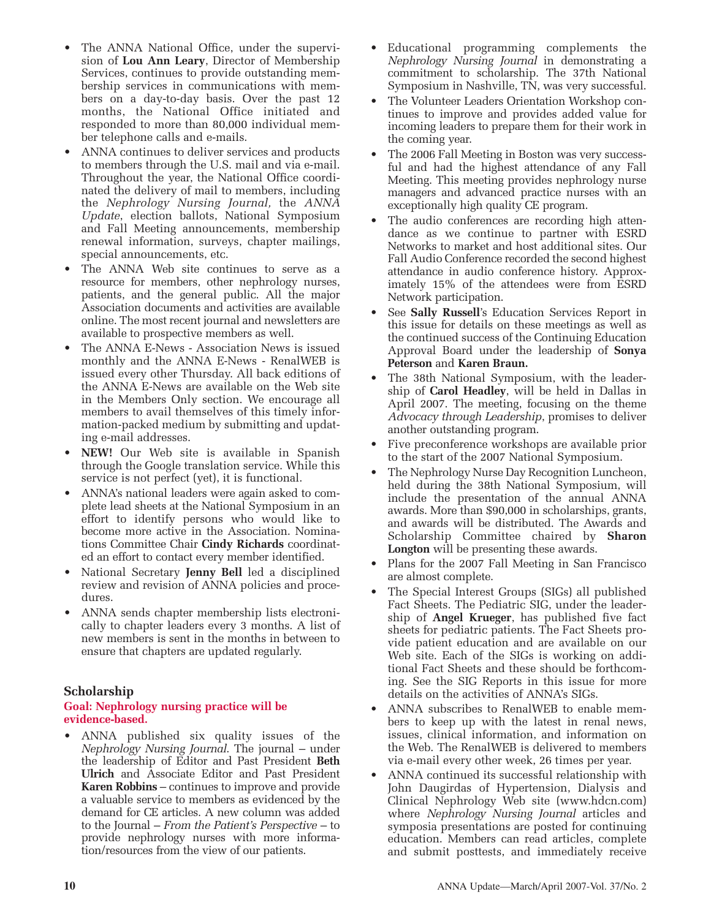- The ANNA National Office, under the supervision of **Lou Ann Leary**, Director of Membership Services, continues to provide outstanding membership services in communications with members on a day-to-day basis. Over the past 12 months, the National Office initiated and responded to more than 80,000 individual member telephone calls and e-mails.
- ANNA continues to deliver services and products to members through the U.S. mail and via e-mail. Throughout the year, the National Office coordinated the delivery of mail to members, including the *Nephrology Nursing Journal,* the *ANNA Update*, election ballots, National Symposium and Fall Meeting announcements, membership renewal information, surveys, chapter mailings, special announcements, etc.
- The ANNA Web site continues to serve as a resource for members, other nephrology nurses, patients, and the general public. All the major Association documents and activities are available online. The most recent journal and newsletters are available to prospective members as well.
- The ANNA E-News Association News is issued monthly and the ANNA E-News - RenalWEB is issued every other Thursday. All back editions of the ANNA E-News are available on the Web site in the Members Only section. We encourage all members to avail themselves of this timely information-packed medium by submitting and updating e-mail addresses.
- **NEW!** Our Web site is available in Spanish through the Google translation service. While this service is not perfect (yet), it is functional.
- ANNA's national leaders were again asked to complete lead sheets at the National Symposium in an effort to identify persons who would like to become more active in the Association. Nominations Committee Chair **Cindy Richards** coordinated an effort to contact every member identified.
- National Secretary **Jenny Bell** led a disciplined review and revision of ANNA policies and procedures.
- ANNA sends chapter membership lists electronically to chapter leaders every 3 months. A list of new members is sent in the months in between to ensure that chapters are updated regularly.

# **Scholarship**

# **Goal: Nephrology nursing practice will be evidence-based.**

• ANNA published six quality issues of the *Nephrology Nursing Journal*. The journal – under the leadership of Editor and Past President **Beth Ulrich** and Associate Editor and Past President **Karen Robbins** – continues to improve and provide a valuable service to members as evidenced by the demand for CE articles. A new column was added to the Journal – *From the Patient's Perspective* – to provide nephrology nurses with more information/resources from the view of our patients.

- Educational programming complements the *Nephrology Nursing Journal* in demonstrating a commitment to scholarship. The 37th National Symposium in Nashville, TN, was very successful.
- The Volunteer Leaders Orientation Workshop continues to improve and provides added value for incoming leaders to prepare them for their work in the coming year.
- The 2006 Fall Meeting in Boston was very successful and had the highest attendance of any Fall Meeting. This meeting provides nephrology nurse managers and advanced practice nurses with an exceptionally high quality CE program.
- The audio conferences are recording high attendance as we continue to partner with ESRD Networks to market and host additional sites. Our Fall Audio Conference recorded the second highest attendance in audio conference history. Approximately 15% of the attendees were from ESRD Network participation.
- See **Sally Russell**'s Education Services Report in this issue for details on these meetings as well as the continued success of the Continuing Education Approval Board under the leadership of **Sonya Peterson** and **Karen Braun.**
- The 38th National Symposium, with the leadership of **Carol Headley**, will be held in Dallas in April 2007. The meeting, focusing on the theme *Advocacy through Leadership*, promises to deliver another outstanding program.
- Five preconference workshops are available prior to the start of the 2007 National Symposium.
- The Nephrology Nurse Day Recognition Luncheon, held during the 38th National Symposium, will include the presentation of the annual ANNA awards. More than \$90,000 in scholarships, grants, and awards will be distributed. The Awards and Scholarship Committee chaired by **Sharon Longton** will be presenting these awards.
- Plans for the 2007 Fall Meeting in San Francisco are almost complete.
- The Special Interest Groups (SIGs) all published Fact Sheets. The Pediatric SIG, under the leadership of **Angel Krueger**, has published five fact sheets for pediatric patients. The Fact Sheets provide patient education and are available on our Web site. Each of the SIGs is working on additional Fact Sheets and these should be forthcoming. See the SIG Reports in this issue for more details on the activities of ANNA's SIGs.
- ANNA subscribes to RenalWEB to enable members to keep up with the latest in renal news, issues, clinical information, and information on the Web. The RenalWEB is delivered to members via e-mail every other week, 26 times per year.
- ANNA continued its successful relationship with John Daugirdas of Hypertension, Dialysis and Clinical Nephrology Web site (www.hdcn.com) where *Nephrology Nursing Journal* articles and symposia presentations are posted for continuing education. Members can read articles, complete and submit posttests, and immediately receive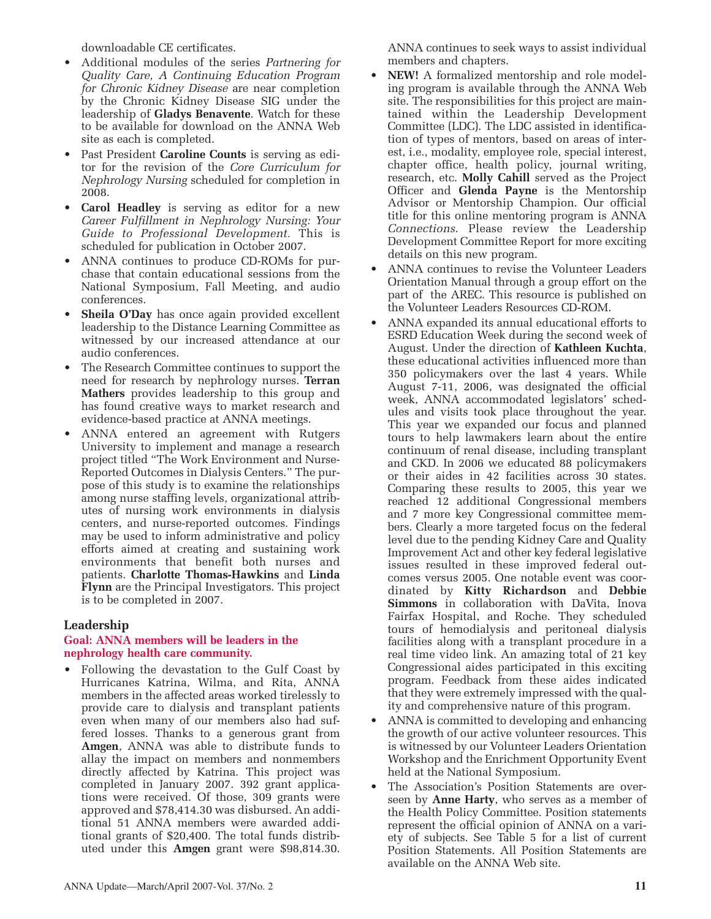downloadable CE certificates.

- Additional modules of the series *Partnering for Quality Care, A Continuing Education Program for Chronic Kidney Disease* are near completion by the Chronic Kidney Disease SIG under the leadership of **Gladys Benavente**. Watch for these to be available for download on the ANNA Web site as each is completed.
- Past President **Caroline Counts** is serving as editor for the revision of the *Core Curriculum for Nephrology Nursing* scheduled for completion in 2008.
- **Carol Headley** is serving as editor for a new *Career Fulfillment in Nephrology Nursing: Your Guide to Professional Development.* This is scheduled for publication in October 2007.
- ANNA continues to produce CD-ROMs for purchase that contain educational sessions from the National Symposium, Fall Meeting, and audio conferences.
- **Sheila O'Day** has once again provided excellent leadership to the Distance Learning Committee as witnessed by our increased attendance at our audio conferences.
- *•* The Research Committee continues to support the need for research by nephrology nurses. **Terran Mathers** provides leadership to this group and has found creative ways to market research and evidence-based practice at ANNA meetings.
- ANNA entered an agreement with Rutgers University to implement and manage a research project titled "The Work Environment and Nurse-Reported Outcomes in Dialysis Centers." The purpose of this study is to examine the relationships among nurse staffing levels, organizational attributes of nursing work environments in dialysis centers, and nurse-reported outcomes. Findings may be used to inform administrative and policy efforts aimed at creating and sustaining work environments that benefit both nurses and patients. **Charlotte Thomas-Hawkins** and **Linda Flynn** are the Principal Investigators. This project is to be completed in 2007.

# **Leadership**

# **Goal: ANNA members will be leaders in the nephrology health care community.**

• Following the devastation to the Gulf Coast by Hurricanes Katrina, Wilma, and Rita, ANNA members in the affected areas worked tirelessly to provide care to dialysis and transplant patients even when many of our members also had suffered losses. Thanks to a generous grant from **Amgen**, ANNA was able to distribute funds to allay the impact on members and nonmembers directly affected by Katrina. This project was completed in January 2007. 392 grant applications were received. Of those, 309 grants were approved and \$78,414.30 was disbursed. An additional 51 ANNA members were awarded additional grants of \$20,400. The total funds distributed under this **Amgen** grant were \$98,814.30. ANNA continues to seek ways to assist individual members and chapters.

- **NEW!** A formalized mentorship and role modeling program is available through the ANNA Web site. The responsibilities for this project are maintained within the Leadership Development Committee (LDC). The LDC assisted in identification of types of mentors, based on areas of interest, i.e., modality, employee role, special interest, chapter office, health policy, journal writing, research, etc. **Molly Cahill** served as the Project Officer and **Glenda Payne** is the Mentorship Advisor or Mentorship Champion. Our official title for this online mentoring program is ANNA *Connections*. Please review the Leadership Development Committee Report for more exciting details on this new program.
- ANNA continues to revise the Volunteer Leaders Orientation Manual through a group effort on the part of the AREC. This resource is published on the Volunteer Leaders Resources CD-ROM.
- ANNA expanded its annual educational efforts to ESRD Education Week during the second week of August. Under the direction of **Kathleen Kuchta**, these educational activities influenced more than 350 policymakers over the last 4 years. While August 7-11, 2006, was designated the official week, ANNA accommodated legislators' schedules and visits took place throughout the year. This year we expanded our focus and planned tours to help lawmakers learn about the entire continuum of renal disease, including transplant and CKD. In 2006 we educated 88 policymakers or their aides in 42 facilities across 30 states. Comparing these results to 2005, this year we reached 12 additional Congressional members and 7 more key Congressional committee members. Clearly a more targeted focus on the federal level due to the pending Kidney Care and Quality Improvement Act and other key federal legislative issues resulted in these improved federal outcomes versus 2005. One notable event was coordinated by **Kitty Richardson** and **Debbie Simmons** in collaboration with DaVita, Inova Fairfax Hospital, and Roche. They scheduled tours of hemodialysis and peritoneal dialysis facilities along with a transplant procedure in a real time video link. An amazing total of 21 key Congressional aides participated in this exciting program. Feedback from these aides indicated that they were extremely impressed with the quality and comprehensive nature of this program.
- ANNA is committed to developing and enhancing the growth of our active volunteer resources. This is witnessed by our Volunteer Leaders Orientation Workshop and the Enrichment Opportunity Event held at the National Symposium.
- The Association's Position Statements are overseen by **Anne Harty**, who serves as a member of the Health Policy Committee. Position statements represent the official opinion of ANNA on a variety of subjects. See Table 5 for a list of current Position Statements. All Position Statements are available on the ANNA Web site.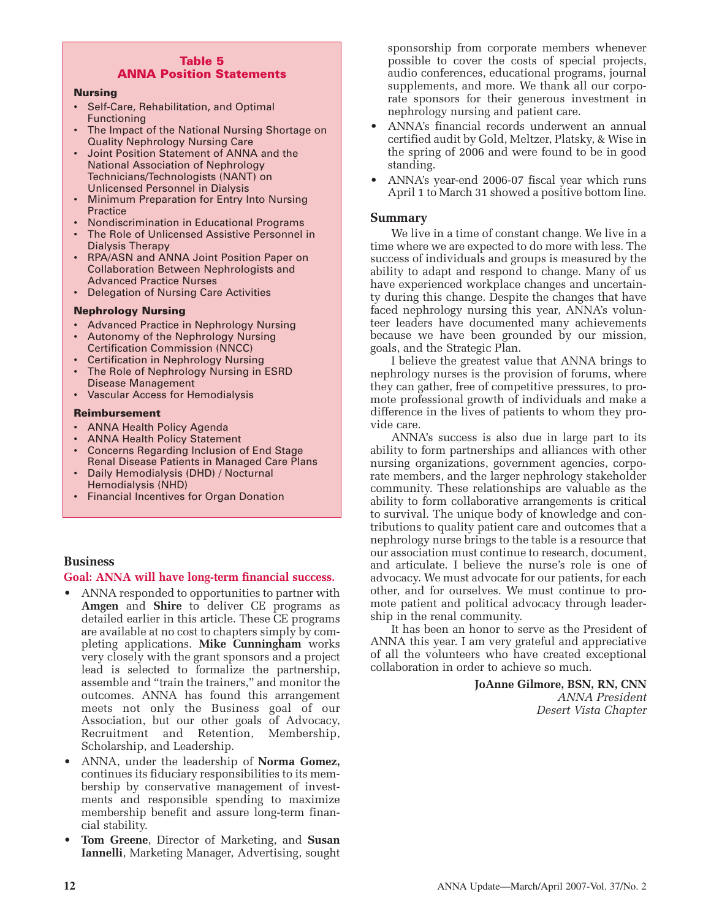#### **Table 5 ANNA Position Statements**

#### **Nursing**

- Self-Care, Rehabilitation, and Optimal Functioning
- The Impact of the National Nursing Shortage on Quality Nephrology Nursing Care
- Joint Position Statement of ANNA and the National Association of Nephrology Technicians/Technologists (NANT) on Unlicensed Personnel in Dialysis
- Minimum Preparation for Entry Into Nursing **Practice**
- Nondiscrimination in Educational Programs
- The Role of Unlicensed Assistive Personnel in Dialysis Therapy
- RPA/ASN and ANNA Joint Position Paper on Collaboration Between Nephrologists and Advanced Practice Nurses
- Delegation of Nursing Care Activities

# **Nephrology Nursing**

- Advanced Practice in Nephrology Nursing
- Autonomy of the Nephrology Nursing
- Certification Commission (NNCC) • Certification in Nephrology Nursing
- The Role of Nephrology Nursing in ESRD Disease Management
- Vascular Access for Hemodialysis

#### **Reimbursement**

- ANNA Health Policy Agenda
- ANNA Health Policy Statement
- Concerns Regarding Inclusion of End Stage Renal Disease Patients in Managed Care Plans
- Daily Hemodialysis (DHD) / Nocturnal Hemodialysis (NHD)
- Financial Incentives for Organ Donation

# **Business**

# **Goal: ANNA will have long-term financial success.**

- ANNA responded to opportunities to partner with **Amgen** and **Shire** to deliver CE programs as detailed earlier in this article. These CE programs are available at no cost to chapters simply by completing applications. **Mike Cunningham** works very closely with the grant sponsors and a project lead is selected to formalize the partnership, assemble and "train the trainers," and monitor the outcomes. ANNA has found this arrangement meets not only the Business goal of our Association, but our other goals of Advocacy, Recruitment and Retention, Membership, Scholarship, and Leadership.
- ANNA, under the leadership of **Norma Gomez,** continues its fiduciary responsibilities to its membership by conservative management of investments and responsible spending to maximize membership benefit and assure long-term financial stability.
- **Tom Greene**, Director of Marketing, and **Susan Iannelli**, Marketing Manager, Advertising, sought

sponsorship from corporate members whenever possible to cover the costs of special projects, audio conferences, educational programs, journal supplements, and more. We thank all our corporate sponsors for their generous investment in nephrology nursing and patient care.

- ANNA's financial records underwent an annual certified audit by Gold, Meltzer, Platsky, & Wise in the spring of 2006 and were found to be in good standing.
- ANNA's year-end 2006-07 fiscal year which runs April 1 to March 31 showed a positive bottom line.

# **Summary**

We live in a time of constant change. We live in a time where we are expected to do more with less. The success of individuals and groups is measured by the ability to adapt and respond to change. Many of us have experienced workplace changes and uncertainty during this change. Despite the changes that have faced nephrology nursing this year, ANNA's volunteer leaders have documented many achievements because we have been grounded by our mission, goals, and the Strategic Plan.

I believe the greatest value that ANNA brings to nephrology nurses is the provision of forums, where they can gather, free of competitive pressures, to promote professional growth of individuals and make a difference in the lives of patients to whom they provide care.

ANNA's success is also due in large part to its ability to form partnerships and alliances with other nursing organizations, government agencies, corporate members, and the larger nephrology stakeholder community. These relationships are valuable as the ability to form collaborative arrangements is critical to survival. The unique body of knowledge and contributions to quality patient care and outcomes that a nephrology nurse brings to the table is a resource that our association must continue to research, document, and articulate. I believe the nurse's role is one of advocacy. We must advocate for our patients, for each other, and for ourselves. We must continue to promote patient and political advocacy through leadership in the renal community.

It has been an honor to serve as the President of ANNA this year. I am very grateful and appreciative of all the volunteers who have created exceptional collaboration in order to achieve so much.

> **JoAnne Gilmore, BSN, RN, CNN** *ANNA President Desert Vista Chapter*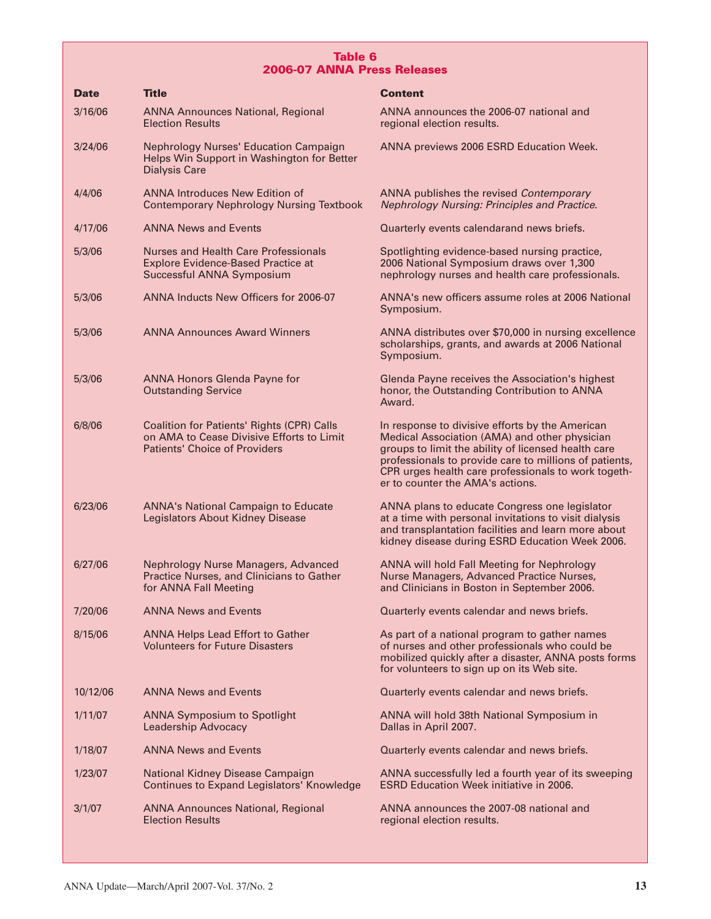# **Table 6 2006-07 ANNA Press Releases**

| <b>Date</b> | <b>Title</b>                                                                                                                           | <b>Content</b>                                                                                                                                                                                                                                                                                               |
|-------------|----------------------------------------------------------------------------------------------------------------------------------------|--------------------------------------------------------------------------------------------------------------------------------------------------------------------------------------------------------------------------------------------------------------------------------------------------------------|
| 3/16/06     | <b>ANNA Announces National, Regional</b><br><b>Election Results</b>                                                                    | ANNA announces the 2006-07 national and<br>regional election results.                                                                                                                                                                                                                                        |
| 3/24/06     | <b>Nephrology Nurses' Education Campaign</b><br>Helps Win Support in Washington for Better<br><b>Dialysis Care</b>                     | ANNA previews 2006 ESRD Education Week.                                                                                                                                                                                                                                                                      |
| 4/4/06      | <b>ANNA Introduces New Edition of</b><br><b>Contemporary Nephrology Nursing Textbook</b>                                               | ANNA publishes the revised Contemporary<br><b>Nephrology Nursing: Principles and Practice.</b>                                                                                                                                                                                                               |
| 4/17/06     | <b>ANNA News and Events</b>                                                                                                            | Quarterly events calendarand news briefs.                                                                                                                                                                                                                                                                    |
| 5/3/06      | <b>Nurses and Health Care Professionals</b><br><b>Explore Evidence-Based Practice at</b><br>Successful ANNA Symposium                  | Spotlighting evidence-based nursing practice,<br>2006 National Symposium draws over 1,300<br>nephrology nurses and health care professionals.                                                                                                                                                                |
| 5/3/06      | ANNA Inducts New Officers for 2006-07                                                                                                  | ANNA's new officers assume roles at 2006 National<br>Symposium.                                                                                                                                                                                                                                              |
| 5/3/06      | <b>ANNA Announces Award Winners</b>                                                                                                    | ANNA distributes over \$70,000 in nursing excellence<br>scholarships, grants, and awards at 2006 National<br>Symposium.                                                                                                                                                                                      |
| 5/3/06      | <b>ANNA Honors Glenda Payne for</b><br><b>Outstanding Service</b>                                                                      | Glenda Payne receives the Association's highest<br>honor, the Outstanding Contribution to ANNA<br>Award.                                                                                                                                                                                                     |
| 6/8/06      | <b>Coalition for Patients' Rights (CPR) Calls</b><br>on AMA to Cease Divisive Efforts to Limit<br><b>Patients' Choice of Providers</b> | In response to divisive efforts by the American<br>Medical Association (AMA) and other physician<br>groups to limit the ability of licensed health care<br>professionals to provide care to millions of patients,<br>CPR urges health care professionals to work togeth-<br>er to counter the AMA's actions. |
| 6/23/06     | <b>ANNA's National Campaign to Educate</b><br>Legislators About Kidney Disease                                                         | ANNA plans to educate Congress one legislator<br>at a time with personal invitations to visit dialysis<br>and transplantation facilities and learn more about<br>kidney disease during ESRD Education Week 2006.                                                                                             |
| 6/27/06     | <b>Nephrology Nurse Managers, Advanced</b><br>Practice Nurses, and Clinicians to Gather<br>for ANNA Fall Meeting                       | ANNA will hold Fall Meeting for Nephrology<br>Nurse Managers, Advanced Practice Nurses,<br>and Clinicians in Boston in September 2006.                                                                                                                                                                       |
| 7/20/06     | <b>ANNA News and Events</b>                                                                                                            | Quarterly events calendar and news briefs.                                                                                                                                                                                                                                                                   |
| 8/15/06     | <b>ANNA Helps Lead Effort to Gather</b><br><b>Volunteers for Future Disasters</b>                                                      | As part of a national program to gather names<br>of nurses and other professionals who could be<br>mobilized quickly after a disaster, ANNA posts forms<br>for volunteers to sign up on its Web site.                                                                                                        |
| 10/12/06    | <b>ANNA News and Events</b>                                                                                                            | Quarterly events calendar and news briefs.                                                                                                                                                                                                                                                                   |
| 1/11/07     | <b>ANNA Symposium to Spotlight</b><br><b>Leadership Advocacy</b>                                                                       | ANNA will hold 38th National Symposium in<br>Dallas in April 2007.                                                                                                                                                                                                                                           |
| 1/18/07     | <b>ANNA News and Events</b>                                                                                                            | Quarterly events calendar and news briefs.                                                                                                                                                                                                                                                                   |
| 1/23/07     | National Kidney Disease Campaign<br><b>Continues to Expand Legislators' Knowledge</b>                                                  | ANNA successfully led a fourth year of its sweeping<br><b>ESRD Education Week initiative in 2006.</b>                                                                                                                                                                                                        |
| 3/1/07      | <b>ANNA Announces National, Regional</b><br><b>Election Results</b>                                                                    | ANNA announces the 2007-08 national and<br>regional election results.                                                                                                                                                                                                                                        |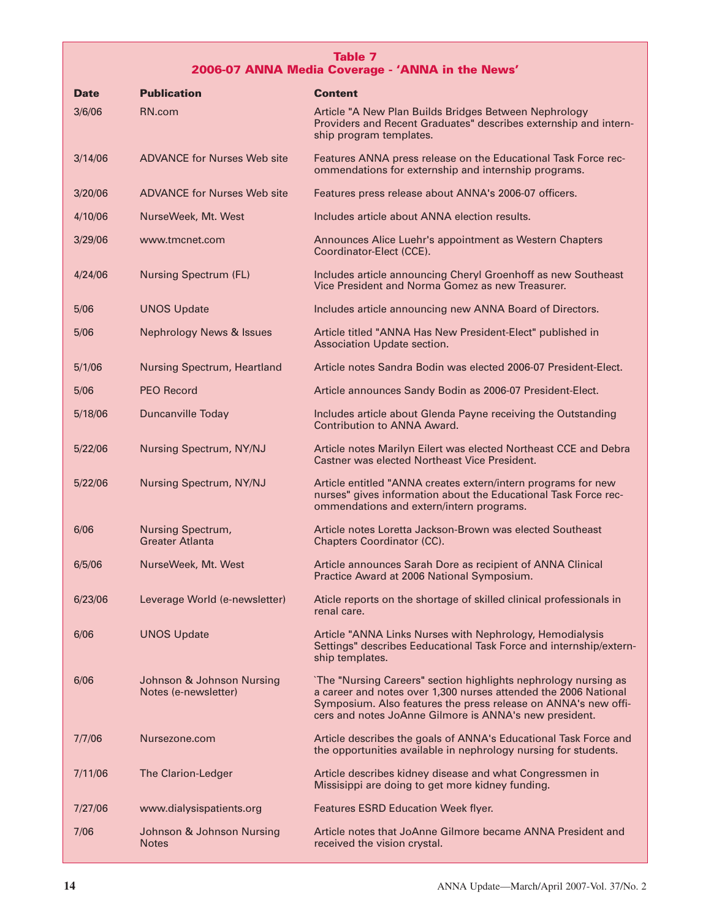# **Table 7 2006-07 ANNA Media Coverage - 'ANNA in the News'**

| Date    | <b>Publication</b>                                | Content                                                                                                                                                                                                                                                        |
|---------|---------------------------------------------------|----------------------------------------------------------------------------------------------------------------------------------------------------------------------------------------------------------------------------------------------------------------|
| 3/6/06  | RN.com                                            | Article "A New Plan Builds Bridges Between Nephrology<br>Providers and Recent Graduates" describes externship and intern-<br>ship program templates.                                                                                                           |
| 3/14/06 | <b>ADVANCE for Nurses Web site</b>                | Features ANNA press release on the Educational Task Force rec-<br>ommendations for externship and internship programs.                                                                                                                                         |
| 3/20/06 | <b>ADVANCE for Nurses Web site</b>                | Features press release about ANNA's 2006-07 officers.                                                                                                                                                                                                          |
| 4/10/06 | NurseWeek, Mt. West                               | Includes article about ANNA election results.                                                                                                                                                                                                                  |
| 3/29/06 | www.tmcnet.com                                    | Announces Alice Luehr's appointment as Western Chapters<br>Coordinator-Elect (CCE).                                                                                                                                                                            |
| 4/24/06 | <b>Nursing Spectrum (FL)</b>                      | Includes article announcing Cheryl Groenhoff as new Southeast<br>Vice President and Norma Gomez as new Treasurer.                                                                                                                                              |
| 5/06    | <b>UNOS Update</b>                                | Includes article announcing new ANNA Board of Directors.                                                                                                                                                                                                       |
| 5/06    | <b>Nephrology News &amp; Issues</b>               | Article titled "ANNA Has New President-Elect" published in<br>Association Update section.                                                                                                                                                                      |
| 5/1/06  | <b>Nursing Spectrum, Heartland</b>                | Article notes Sandra Bodin was elected 2006-07 President-Elect.                                                                                                                                                                                                |
| 5/06    | <b>PEO Record</b>                                 | Article announces Sandy Bodin as 2006-07 President-Elect.                                                                                                                                                                                                      |
| 5/18/06 | Duncanville Today                                 | Includes article about Glenda Payne receiving the Outstanding<br><b>Contribution to ANNA Award.</b>                                                                                                                                                            |
| 5/22/06 | Nursing Spectrum, NY/NJ                           | Article notes Marilyn Eilert was elected Northeast CCE and Debra<br>Castner was elected Northeast Vice President.                                                                                                                                              |
| 5/22/06 | Nursing Spectrum, NY/NJ                           | Article entitled "ANNA creates extern/intern programs for new<br>nurses" gives information about the Educational Task Force rec-<br>ommendations and extern/intern programs.                                                                                   |
| 6/06    | Nursing Spectrum,<br><b>Greater Atlanta</b>       | Article notes Loretta Jackson-Brown was elected Southeast<br>Chapters Coordinator (CC).                                                                                                                                                                        |
| 6/5/06  | NurseWeek, Mt. West                               | Article announces Sarah Dore as recipient of ANNA Clinical<br>Practice Award at 2006 National Symposium.                                                                                                                                                       |
| 6/23/06 | Leverage World (e-newsletter)                     | Aticle reports on the shortage of skilled clinical professionals in<br>renal care.                                                                                                                                                                             |
| 6/06    | <b>UNOS Update</b>                                | Article "ANNA Links Nurses with Nephrology, Hemodialysis<br>Settings" describes Eeducational Task Force and internship/extern-<br>ship templates.                                                                                                              |
| 6/06    | Johnson & Johnson Nursing<br>Notes (e-newsletter) | `The "Nursing Careers" section highlights nephrology nursing as<br>a career and notes over 1,300 nurses attended the 2006 National<br>Symposium. Also features the press release on ANNA's new offi-<br>cers and notes JoAnne Gilmore is ANNA's new president. |
| 7/7/06  | Nursezone.com                                     | Article describes the goals of ANNA's Educational Task Force and<br>the opportunities available in nephrology nursing for students.                                                                                                                            |
| 7/11/06 | <b>The Clarion-Ledger</b>                         | Article describes kidney disease and what Congressmen in<br>Missisippi are doing to get more kidney funding.                                                                                                                                                   |
| 7/27/06 | www.dialysispatients.org                          | <b>Features ESRD Education Week flyer.</b>                                                                                                                                                                                                                     |
| 7/06    | Johnson & Johnson Nursing<br><b>Notes</b>         | Article notes that JoAnne Gilmore became ANNA President and<br>received the vision crystal.                                                                                                                                                                    |